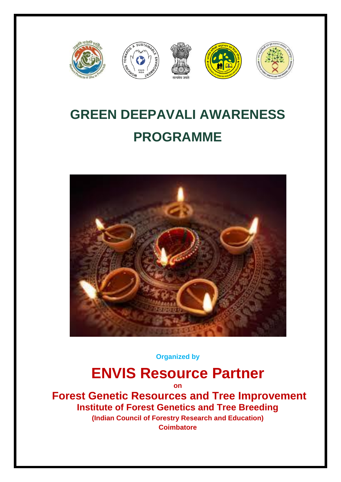

## **GREEN DEEPAVALI AWARENESS PROGRAMME**



**Organized by**

## **ENVIS Resource Partner**

**on**

**Forest Genetic Resources and Tree Improvement Institute of Forest Genetics and Tree Breeding**

**(Indian Council of Forestry Research and Education) Coimbatore**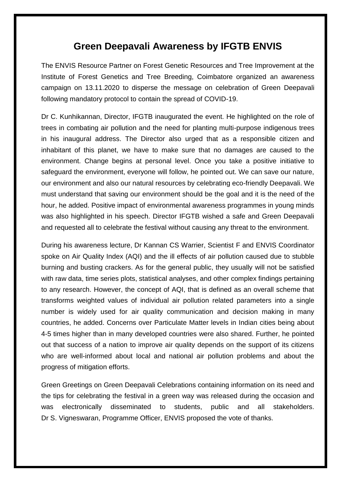## **Green Deepavali Awareness by IFGTB ENVIS**

The ENVIS Resource Partner on Forest Genetic Resources and Tree Improvement at the Institute of Forest Genetics and Tree Breeding, Coimbatore organized an awareness campaign on 13.11.2020 to disperse the message on celebration of Green Deepavali following mandatory protocol to contain the spread of COVID-19.

Dr C. Kunhikannan, Director, IFGTB inaugurated the event. He highlighted on the role of trees in combating air pollution and the need for planting multi-purpose indigenous trees in his inaugural address. The Director also urged that as a responsible citizen and inhabitant of this planet, we have to make sure that no damages are caused to the environment. Change begins at personal level. Once you take a positive initiative to safeguard the environment, everyone will follow, he pointed out. We can save our nature, our environment and also our natural resources by celebrating eco-friendly Deepavali. We must understand that saving our environment should be the goal and it is the need of the hour, he added. Positive impact of environmental awareness programmes in young minds was also highlighted in his speech. Director IFGTB wished a safe and Green Deepavali and requested all to celebrate the festival without causing any threat to the environment.

During his awareness lecture, Dr Kannan CS Warrier, Scientist F and ENVIS Coordinator spoke on Air Quality Index (AQI) and the ill effects of air pollution caused due to stubble burning and busting crackers. As for the general public, they usually will not be satisfied with raw data, time series plots, statistical analyses, and other complex findings pertaining to any research. However, the concept of AQI, that is defined as an overall scheme that transforms weighted values of individual air pollution related parameters into a single number is widely used for air quality communication and decision making in many countries, he added. Concerns over Particulate Matter levels in Indian cities being about 4-5 times higher than in many developed countries were also shared. Further, he pointed out that success of a nation to improve air quality depends on the support of its citizens who are well-informed about local and national air pollution problems and about the progress of mitigation efforts.

Green Greetings on Green Deepavali Celebrations containing information on its need and the tips for celebrating the festival in a green way was released during the occasion and was electronically disseminated to students, public and all stakeholders. Dr S. Vigneswaran, Programme Officer, ENVIS proposed the vote of thanks.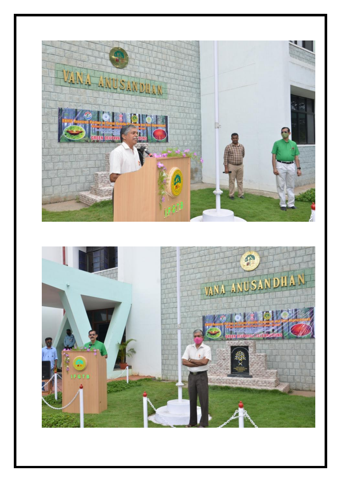

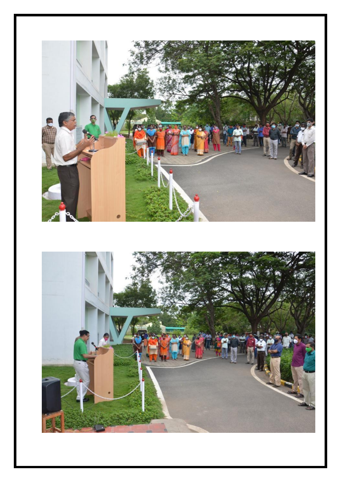

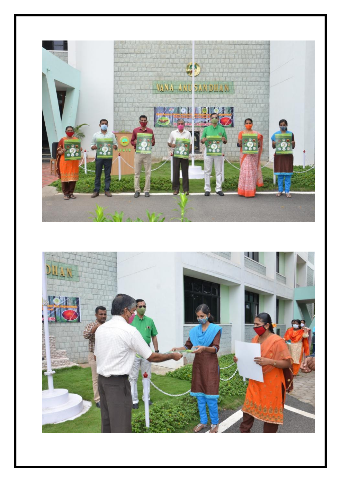

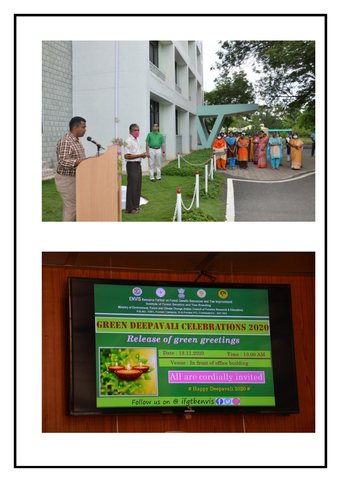